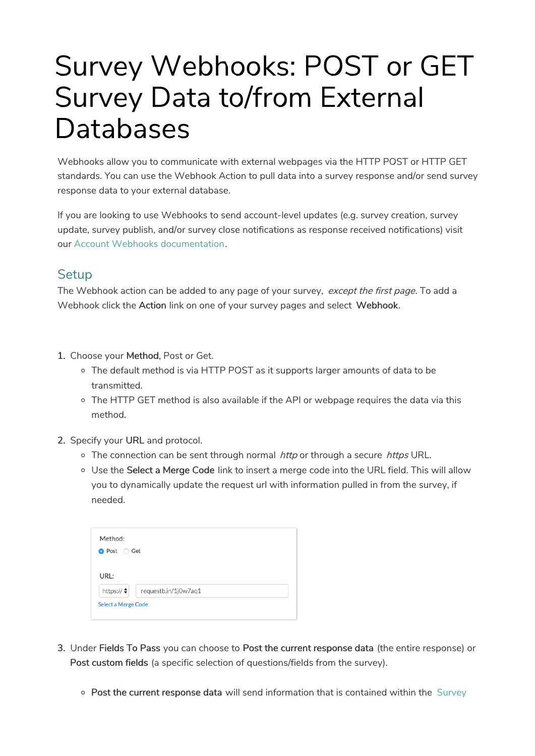# Survey Webhooks: POST or GET Survey Data to/from External Databases

Webhooks allow you to communicate with external webpages via the HTTP POST or HTTP GET standards. You can use the Webhook Action to pull data into a survey response and/or send survey response data to your external database.

If you are looking to use Webhooks to send account-level updates (e.g. survey creation, survey update, survey publish, and/or survey close notifications as response received notifications) visit our Account Webhooks documentation.

#### **Setup**

The Webhook action can be added to any page of your survey, except the first page. To add a Webhook click the Action link on one of your survey pages and select Webhook.

- 1. Choose your Method, Post or Get.
	- o The default method is via HTTP POST as it supports larger amounts of data to be transmitted.
	- $\circ$  The HTTP GET method is also available if the API or webpage requires the data via this method.
- 2. Specify your URL and protocol.
	- $\circ$  The connection can be sent through normal *http* or through a secure *https* URL.
	- Use the Select a Merge Code link to insert a merge code into the URL field. This will allow you to dynamically update the request url with information pulled in from the survey, if needed.

| requestb.in/1j0w7aq1<br><b>Select a Merge Code</b> |
|----------------------------------------------------|

- 3. Under Fields To Pass you can choose to Post the current response data (the entire response) or Post custom fields (a specific selection of questions/fields from the survey).
	- o Post the current response data will send information that is contained within the Survey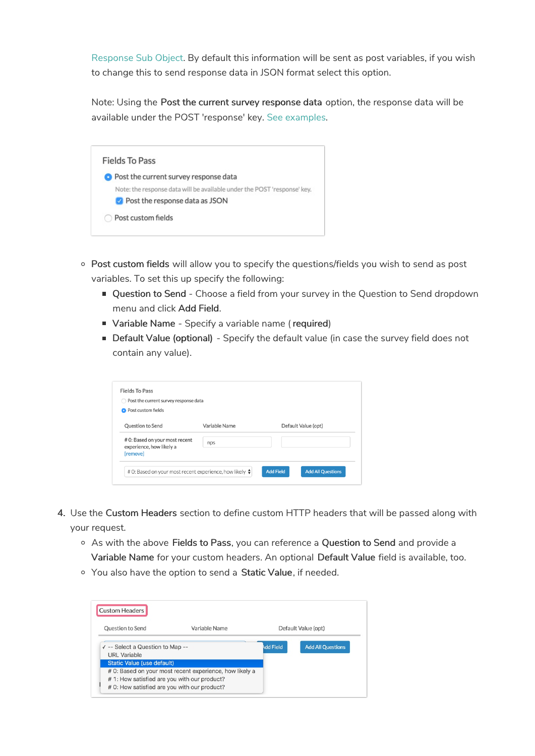Response Sub Object. By default this information will be sent as post variables, if you wish to change this to send response data in JSON format select this option.

Note: Using the Post the current survey response data option, the response data will be available under the POST 'response' key. See examples.



- Post custom fields will allow you to specify the questions/fields you wish to send as post variables. To set this up specify the following:
	- Question to Send Choose a field from your survey in the Question to Send dropdown menu and click Add Field.
	- **Variable Name** Specify a variable name (required)
	- **Default Value (optional)** Specify the default value (in case the survey field does not contain any value).

| <b>O</b> Post custom fields                                                   |               |                     |  |
|-------------------------------------------------------------------------------|---------------|---------------------|--|
| Question to Send                                                              | Variable Name | Default Value (opt) |  |
| # 0: Based on your most recent<br>experience, how likely a<br><b>[remove]</b> | nps           |                     |  |

- 4. Use the Custom Headers section to define custom HTTP headers that will be passed along with your request.
	- As with the above Fields to Pass, you can reference a Question to Send and provide a Variable Name for your custom headers. An optional Default Value field is available, too.
	- o You also have the option to send a Static Value, if needed.

| Question to Send                                        | Variable Name                                           |                  | Default Value (opt)      |
|---------------------------------------------------------|---------------------------------------------------------|------------------|--------------------------|
| √ -- Select a Question to Map --<br><b>URL</b> Variable |                                                         | <b>Add Field</b> | <b>Add All Questions</b> |
| <b>Static Value (use default)</b>                       |                                                         |                  |                          |
|                                                         | # 0: Based on your most recent experience, how likely a |                  |                          |
| #1: How satisfied are you with our product?             |                                                         |                  |                          |
| # 0: How satisfied are you with our product?            |                                                         |                  |                          |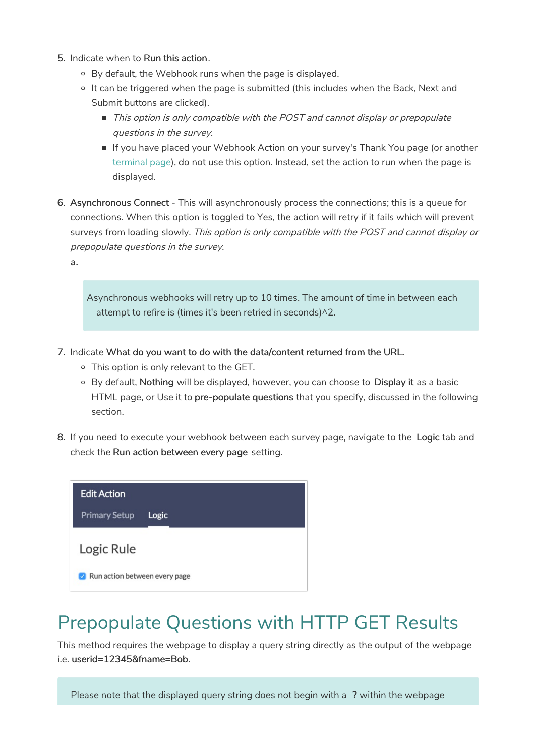- 5. Indicate when to Run this action.
	- By default, the Webhook runs when the page is displayed.
	- $\circ$  It can be triggered when the page is submitted (this includes when the Back, Next and Submit buttons are clicked).
		- $\blacksquare$  This option is only compatible with the POST and cannot display or prepopulate questions in the survey.
		- If you have placed your Webhook Action on your survey's Thank You page (or another terminal page), do not use this option. Instead, set the action to run when the page is displayed.
- 6. Asynchronous Connect This will asynchronously process the connections; this is a queue for connections. When this option is toggled to Yes, the action will retry if it fails which will prevent surveys from loading slowly. This option is only compatible with the POST and cannot display or prepopulate questions in the survey.
	- a.

Asynchronous webhooks will retry up to 10 times. The amount of time in between each attempt to refire is (times it's been retried in seconds)^2.

- 7. Indicate What do you want to do with the data/content returned from the URL.
	- This option is only relevant to the GET.
	- <sup>o</sup> By default, Nothing will be displayed, however, you can choose to Display it as a basic HTML page, or Use it to pre-populate questions that you specify, discussed in the following section.
- 8. If you need to execute your webhook between each survey page, navigate to the Logic tab and check the Run action between every page setting.



#### Prepopulate Questions with HTTP GET Results

This method requires the webpage to display a query string directly as the output of the webpage i.e. userid=12345&fname=Bob.

Please note that the displayed query string does not begin with a ? within the webpage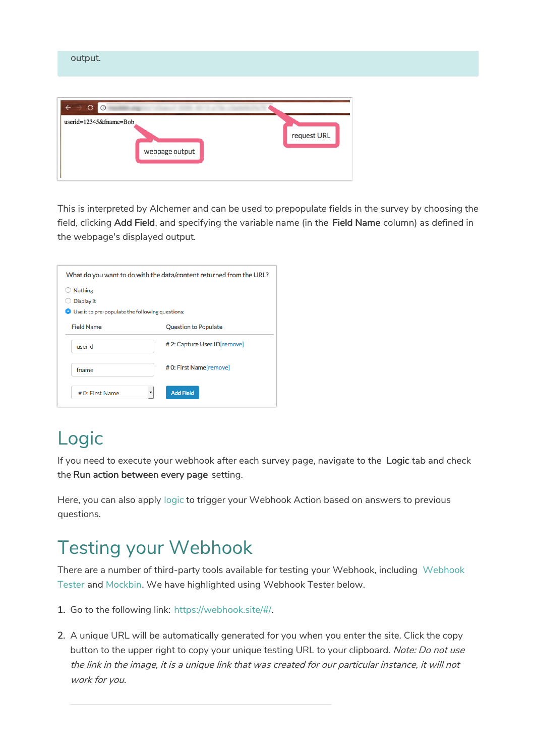| output.                                                                             |             |
|-------------------------------------------------------------------------------------|-------------|
| $\circ$<br>$\mathbf{C}$<br>$\leftarrow$<br>userid=12345&fname=Bob<br>webpage output | request URL |

This is interpreted by Alchemer and can be used to prepopulate fields in the survey by choosing the field, clicking Add Field, and specifying the variable name (in the Field Name column) as defined in the webpage's displayed output.

| What do you want to do with the data/content returned from the URL? |                              |  |
|---------------------------------------------------------------------|------------------------------|--|
| <b>Nothing</b>                                                      |                              |  |
| Display it                                                          |                              |  |
| <b>O</b> Use it to pre-populate the following questions:            |                              |  |
| <b>Field Name</b>                                                   | <b>Question to Populate</b>  |  |
| userid                                                              | # 2: Capture User ID[remove] |  |
| fname                                                               | # 0: First Name[remove]      |  |
| # 0: First Name                                                     | <b>Add Field</b>             |  |

## Logic

If you need to execute your webhook after each survey page, navigate to the Logic tab and check the Run action between every page setting.

Here, you can also apply logic to trigger your Webhook Action based on answers to previous questions.

## Testing your Webhook

There are a number of third-party tools available for testing your Webhook, including Webhook Tester and Mockbin. We have highlighted using Webhook Tester below.

- 1. Go to the following link: https://webhook.site/#/.
- 2. A unique URL will be automatically generated for you when you enter the site. Click the copy button to the upper right to copy your unique testing URL to your clipboard. Note: Do not use the link in the image, it is <sup>a</sup> unique link that was created for our particular instance, it will not work for you.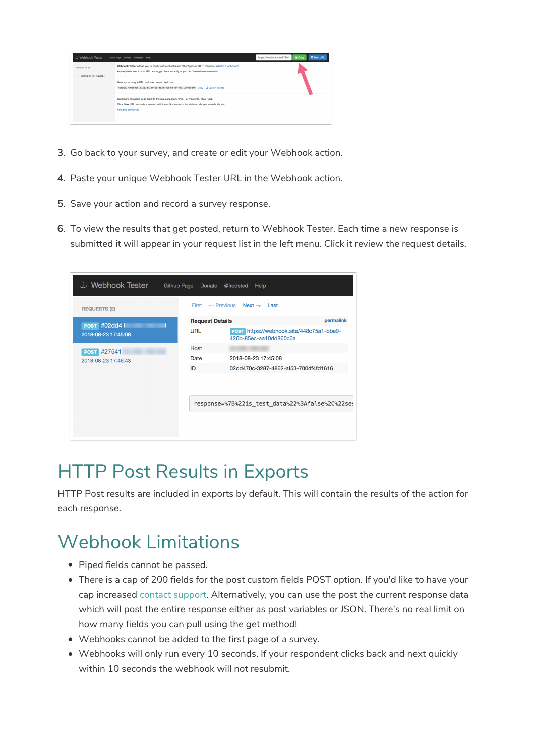

- 3. Go back to your survey, and create or edit your Webhook action.
- 4. Paste your unique Webhook Tester URL in the Webhook action.
- 5. Save your action and record a survey response.
- 6. To view the results that get posted, return to Webhook Tester. Each time a new response is submitted it will appear in your request list in the left menu. Click it review the request details.

| む Webhook Tester    | <b>Github Page</b><br>Donate        | @fredsted<br>Help                                                  |
|---------------------|-------------------------------------|--------------------------------------------------------------------|
| <b>REQUESTS (2)</b> | First                               | $\leftarrow$ Previous Next $\rightarrow$ Last                      |
| <b>POST #02dd4!</b> | permalink<br><b>Request Details</b> |                                                                    |
| 2018-08-23 17:45:08 | <b>URL</b>                          | POST https://webhook.site/448c75a1-bbe9-<br>426b-85ec-aa10dd860c6a |
| <b>POST #27541</b>  | Host                                |                                                                    |
| 2018-08-23 17:46:43 | Date                                | 2018-08-23 17:45:08                                                |
|                     | ID                                  | 02dd470c-3287-4862-af53-7004f4fd1616                               |
|                     |                                     |                                                                    |
|                     |                                     | response=%7B%22is test data%22%3Afalse%2C%22ses                    |
|                     |                                     |                                                                    |

### HTTP Post Results in Exports

HTTP Post results are included in exports by default. This will contain the results of the action for each response.

### Webhook Limitations

- Piped fields cannot be passed.
- There is a cap of 200 fields for the post custom fields POST option. If you'd like to have your cap increased contact support. Alternatively, you can use the post the current response data which will post the entire response either as post variables or JSON. There's no real limit on how many fields you can pull using the get method!
- Webhooks cannot be added to the first page of a survey.
- Webhooks will only run every 10 seconds. If your respondent clicks back and next quickly within 10 seconds the webhook will not resubmit.